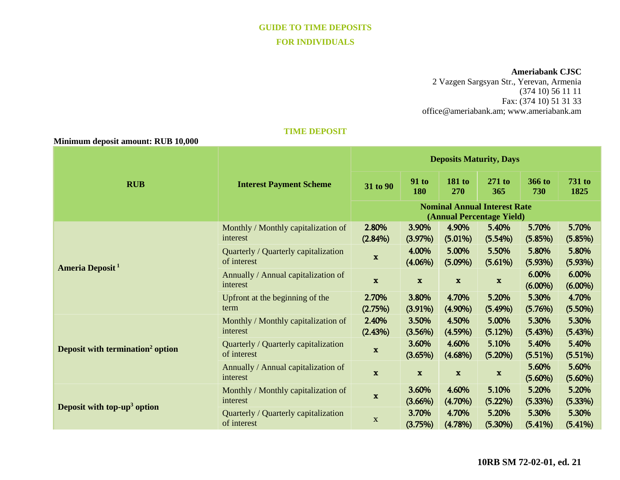# **GUIDE TO TIME DEPOSITS FOR INDIVIDUALS**

#### **Ameriabank CJSC**

2 Vazgen Sargsyan Str., Yerevan, Armenia (374 10) 56 11 11 Fax: (374 10) 51 31 33 [office@ameriabank.am;](mailto:office@ameriabank.am) www.ameriabank.am

## **TIME DEPOSIT**

 **Minimum deposit amount: RUB 10,000**

| <b>RUB</b>                                   | <b>Interest Payment Scheme</b>                      | <b>Deposits Maturity, Days</b>                                   |                     |                      |                     |                     |                       |
|----------------------------------------------|-----------------------------------------------------|------------------------------------------------------------------|---------------------|----------------------|---------------------|---------------------|-----------------------|
|                                              |                                                     | 31 to 90                                                         | <b>91 to</b><br>180 | <b>181 to</b><br>270 | $271$ to<br>365     | 366 to<br>730       | <b>731 to</b><br>1825 |
|                                              |                                                     | <b>Nominal Annual Interest Rate</b><br>(Annual Percentage Yield) |                     |                      |                     |                     |                       |
| Ameria Deposit <sup>1</sup>                  | Monthly / Monthly capitalization of<br>interest     | 2.80%<br>$(2.84\%)$                                              | 3.90%<br>(3.97%)    | 4.90%<br>(5.01%)     | 5.40%<br>(5.54%)    | 5.70%<br>(5.85%)    | 5.70%<br>(5.85%)      |
|                                              | Quarterly / Quarterly capitalization<br>of interest | $\mathbf x$                                                      | 4.00%<br>$(4.06\%)$ | 5.00%<br>$(5.09\%)$  | 5.50%<br>(5.61%)    | 5.80%<br>(5.93%)    | 5.80%<br>(5.93%)      |
|                                              | Annually / Annual capitalization of<br>interest     | $\mathbf x$                                                      | $\mathbf{x}$        | $\mathbf x$          | $\mathbf x$         | 6.00%<br>$(6.00\%)$ | 6.00%<br>$(6.00\%)$   |
|                                              | Upfront at the beginning of the<br>term             | 2.70%<br>(2.75%)                                                 | 3.80%<br>$(3.91\%)$ | 4.70%<br>$(4.90\%)$  | 5.20%<br>(5.49%)    | 5.30%<br>(5.76%)    | 4.70%<br>$(5.50\%)$   |
| Deposit with termination <sup>2</sup> option | Monthly / Monthly capitalization of<br>interest     | 2.40%<br>(2.43%)                                                 | 3.50%<br>(3.56%)    | 4.50%<br>(4.59%)     | 5.00%<br>(5.12%)    | 5.30%<br>(5.43%)    | 5.30%<br>(5.43%)      |
|                                              | Quarterly / Quarterly capitalization<br>of interest | $\mathbf x$                                                      | 3.60%<br>(3.65%)    | 4.60%<br>$(4.68\%)$  | 5.10%<br>(5.20%)    | 5.40%<br>(5.51%)    | 5.40%<br>(5.51%)      |
|                                              | Annually / Annual capitalization of<br>interest     | $\mathbf x$                                                      | $\mathbf x$         | $\mathbf x$          | $\mathbf x$         | 5.60%<br>$(5.60\%)$ | 5.60%<br>$(5.60\%)$   |
| Deposit with top-up <sup>3</sup> option      | Monthly / Monthly capitalization of<br>interest     | $\mathbf x$                                                      | 3.60%<br>$(3.66\%)$ | 4.60%<br>$(4.70\%)$  | 5.10%<br>$(5.22\%)$ | 5.20%<br>(5.33%)    | 5.20%<br>(5.33%)      |
|                                              | Quarterly / Quarterly capitalization<br>of interest | X                                                                | 3.70%<br>(3.75%)    | 4.70%<br>(4.78%)     | 5.20%<br>$(5.30\%)$ | 5.30%<br>(5.41%)    | 5.30%<br>(5.41%)      |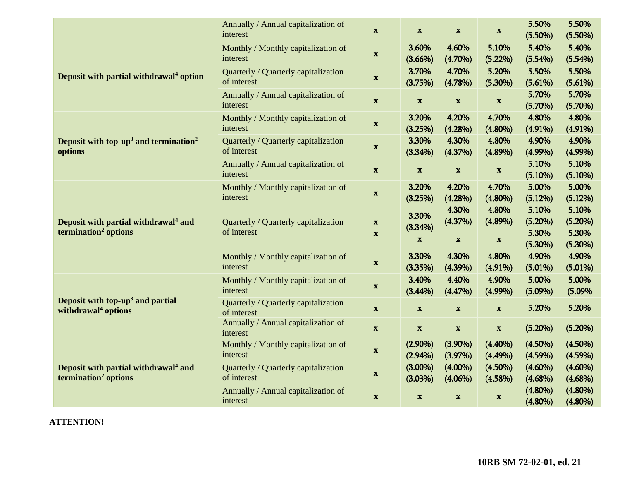|                                                                                      | Annually / Annual capitalization of<br>interest     | $\mathbf{x}$                             | $\mathbf x$               | $\mathbf x$               | $\mathbf x$              | 5.50%<br>$(5.50\%)$      | 5.50%<br>$(5.50\%)$      |
|--------------------------------------------------------------------------------------|-----------------------------------------------------|------------------------------------------|---------------------------|---------------------------|--------------------------|--------------------------|--------------------------|
| Deposit with partial withdrawal <sup>4</sup> option                                  | Monthly / Monthly capitalization of<br>interest     | $\mathbf{x}$                             | 3.60%<br>$(3.66\%)$       | 4.60%<br>$(4.70\%)$       | 5.10%<br>(5.22%)         | 5.40%<br>(5.54%)         | 5.40%<br>(5.54%)         |
|                                                                                      | Quarterly / Quarterly capitalization<br>of interest | $\mathbf x$                              | 3.70%<br>(3.75%)          | 4.70%<br>(4.78%)          | 5.20%<br>$(5.30\%)$      | 5.50%<br>(5.61%)         | 5.50%<br>(5.61%)         |
|                                                                                      | Annually / Annual capitalization of<br>interest     | $\mathbf x$                              | $\mathbf x$               | $\mathbf{x}$              | $\mathbf x$              | 5.70%<br>(5.70%)         | 5.70%<br>(5.70%)         |
| Deposit with top-up <sup>3</sup> and termination <sup>2</sup><br>options             | Monthly / Monthly capitalization of<br>interest     | $\mathbf x$                              | 3.20%<br>(3.25%)          | 4.20%<br>(4.28%)          | 4.70%<br>$(4.80\%)$      | 4.80%<br>$(4.91\%)$      | 4.80%<br>$(4.91\%)$      |
|                                                                                      | Quarterly / Quarterly capitalization<br>of interest | $\mathbf{x}$                             | 3.30%<br>(3.34%)          | 4.30%<br>(4.37%)          | 4.80%<br>$(4.89\%)$      | 4.90%<br>$(4.99\%)$      | 4.90%<br>$(4.99\%)$      |
|                                                                                      | Annually / Annual capitalization of<br>interest     | $\mathbf{x}$                             | $\mathbf x$               | $\mathbf x$               | $\mathbf x$              | 5.10%<br>(5.10%)         | 5.10%<br>(5.10%)         |
| Deposit with partial withdrawal <sup>4</sup> and<br>termination <sup>2</sup> options | Monthly / Monthly capitalization of<br>interest     | $\mathbf x$                              | 3.20%<br>(3.25%)          | 4.20%<br>(4.28%)          | 4.70%<br>$(4.80\%)$      | 5.00%<br>(5.12%)         | 5.00%<br>(5.12%)         |
|                                                                                      | Quarterly / Quarterly capitalization<br>of interest | $\boldsymbol{\mathrm{x}}$<br>$\mathbf x$ | 3.30%<br>(3.34%)          | 4.30%<br>(4.37%)          | 4.80%<br>$(4.89\%)$      | 5.10%<br>(5.20%)         | 5.10%<br>(5.20%)         |
|                                                                                      |                                                     |                                          | $\mathbf x$               | $\mathbf x$               | $\mathbf x$              | 5.30%<br>(5.30%)         | 5.30%<br>$(5.30\%)$      |
|                                                                                      | Monthly / Monthly capitalization of<br>interest     | $\mathbf x$                              | 3.30%<br>(3.35%)          | 4.30%<br>$(4.39\%)$       | 4.80%<br>$(4.91\%)$      | 4.90%<br>$(5.01\%)$      | 4.90%<br>$(5.01\%)$      |
| Deposit with top-up <sup>3</sup> and partial<br>withdrawal <sup>4</sup> options      | Monthly / Monthly capitalization of<br>interest     | $\mathbf x$                              | 3.40%<br>$(3.44\%)$       | 4.40%<br>(4.47%)          | 4.90%<br>$(4.99\%)$      | 5.00%<br>$(5.09\%)$      | 5.00%<br>(5.09%          |
|                                                                                      | Quarterly / Quarterly capitalization<br>of interest | $\mathbf x$                              | $\mathbf x$               | $\mathbf{x}$              | $\mathbf{x}$             | 5.20%                    | 5.20%                    |
|                                                                                      | Annually / Annual capitalization of<br>interest     | $\mathbf X$                              | $\boldsymbol{\mathrm{X}}$ | $\boldsymbol{\mathrm{X}}$ | $\mathbf X$              | (5.20%)                  | (5.20%)                  |
| Deposit with partial withdrawal <sup>4</sup> and<br>termination <sup>2</sup> options | Monthly / Monthly capitalization of<br>interest     | $\mathbf{x}$                             | $(2.90\%)$<br>$(2.94\%)$  | $(3.90\%)$<br>(3.97%)     | $(4.40\%)$<br>$(4.49\%)$ | $(4.50\%)$<br>$(4.59\%)$ | $(4.50\%)$<br>(4.59%)    |
|                                                                                      | Quarterly / Quarterly capitalization<br>of interest | $\mathbf x$                              | $(3.00\%)$<br>(3.03%)     | $(4.00\%)$<br>$(4.06\%)$  | $(4.50\%)$<br>(4.58%)    | $(4.60\%)$<br>$(4.68\%)$ | $(4.60\%)$<br>$(4.68\%)$ |
|                                                                                      | Annually / Annual capitalization of<br>interest     | $\mathbf x$                              | $\mathbf x$               | $\mathbf{x}$              | $\mathbf x$              | $(4.80\%)$<br>$(4.80\%)$ | $(4.80\%)$<br>$(4.80\%)$ |

**ATTENTION!**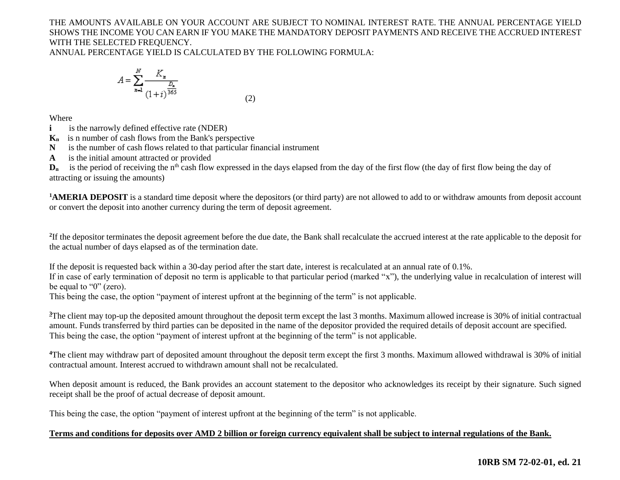# THE AMOUNTS AVAILABLE ON YOUR ACCOUNT ARE SUBJECT TO NOMINAL INTEREST RATE. THE ANNUAL PERCENTAGE YIELD SHOWS THE INCOME YOU CAN EARN IF YOU MAKE THE MANDATORY DEPOSIT PAYMENTS AND RECEIVE THE ACCRUED INTEREST WITH THE SELECTED FREQUENCY.

ANNUAL PERCENTAGE YIELD IS CALCULATED BY THE FOLLOWING FORMULA:

$$
A = \sum_{n=1}^{N} \frac{K_n}{(1+i)^{\frac{D_n}{365}}}
$$
(2)

Where

- **i is the narrowly defined effective rate (NDER)**
- **Kn** is n number of cash flows from the Bank's perspective
- **N** is the number of cash flows related to that particular financial instrument
- **A** is the initial amount attracted or provided

 $D_n$  is the period of receiving the n<sup>th</sup> cash flow expressed in the days elapsed from the day of the first flow (the day of first flow being the day of attracting or issuing the amounts)

**<sup>1</sup>AMERIA DEPOSIT** is a standard time deposit where the depositors (or third party) are not allowed to add to or withdraw amounts from deposit account or convert the deposit into another currency during the term of deposit agreement.

<sup>2</sup>If the depositor terminates the deposit agreement before the due date, the Bank shall recalculate the accrued interest at the rate applicable to the deposit for the actual number of days elapsed as of the termination date.

If the deposit is requested back within a 30-day period after the start date, interest is recalculated at an annual rate of 0.1%.

If in case of early termination of deposit no term is applicable to that particular period (marked "x"), the underlying value in recalculation of interest will be equal to "0" (zero).

This being the case, the option "payment of interest upfront at the beginning of the term" is not applicable.

<sup>3</sup>The client may top-up the deposited amount throughout the deposit term except the last 3 months. Maximum allowed increase is 30% of initial contractual amount. Funds transferred by third parties can be deposited in the name of the depositor provided the required details of deposit account are specified. This being the case, the option "payment of interest upfront at the beginning of the term" is not applicable.

<sup>4</sup>The client may withdraw part of deposited amount throughout the deposit term except the first 3 months. Maximum allowed withdrawal is 30% of initial contractual amount. Interest accrued to withdrawn amount shall not be recalculated.

When deposit amount is reduced, the Bank provides an account statement to the depositor who acknowledges its receipt by their signature. Such signed receipt shall be the proof of actual decrease of deposit amount.

This being the case, the option "payment of interest upfront at the beginning of the term" is not applicable.

#### **Terms and conditions for deposits over AMD 2 billion or foreign currency equivalent shall be subject to internal regulations of the Bank.**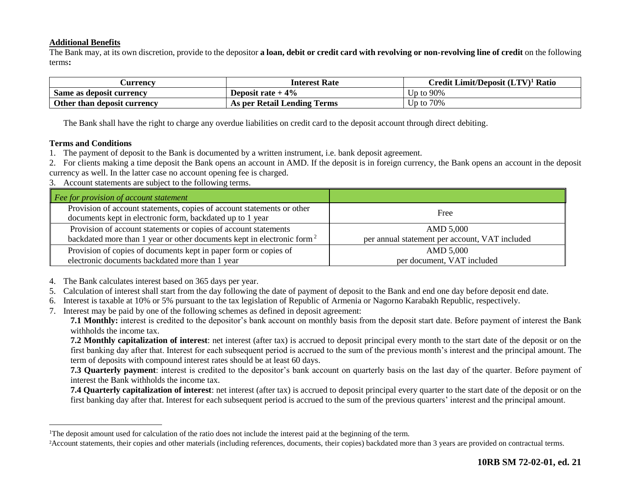### **Additional Benefits**

The Bank may, at its own discretion, provide to the depositor **a loan, debit or credit card with revolving or non-revolving line of credit** on the following terms**:**

| <b>Currency</b>             | <b>Interest Rate</b>        | Credit Limit/Deposit (LTV) <sup>1</sup> Ratio |
|-----------------------------|-----------------------------|-----------------------------------------------|
| Same as deposit currency    | Deposit rate $+4\%$         | Up to 90%                                     |
| Other than deposit currency | As per Retail Lending Terms | Up to $70\%$                                  |

The Bank shall have the right to charge any overdue liabilities on credit card to the deposit account through direct debiting.

#### **Terms and Conditions**

 $\overline{a}$ 

1. The payment of deposit to the Bank is documented by a written instrument, i.e. bank deposit agreement.

2. For clients making a time deposit the Bank opens an account in AMD. If the deposit is in foreign currency, the Bank opens an account in the deposit currency as well. In the latter case no account opening fee is charged.

3. Account statements are subject to the following terms.

| Fee for provision of account statement                                                                                              |                                                |
|-------------------------------------------------------------------------------------------------------------------------------------|------------------------------------------------|
| Provision of account statements, copies of account statements or other<br>documents kept in electronic form, backdated up to 1 year | Free                                           |
| Provision of account statements or copies of account statements                                                                     | AMD 5,000                                      |
| backdated more than 1 year or other documents kept in electronic form <sup>2</sup>                                                  | per annual statement per account, VAT included |
| Provision of copies of documents kept in paper form or copies of                                                                    | AMD 5,000                                      |
| electronic documents backdated more than 1 year                                                                                     | per document, VAT included                     |

4. The Bank calculates interest based on 365 days per year.

- 5. Calculation of interest shall start from the day following the date of payment of deposit to the Bank and end one day before deposit end date.
- 6. Interest is taxable at 10% or 5% pursuant to the tax legislation of Republic of Armenia or Nagorno Karabakh Republic, respectively.
- 7. Interest may be paid by one of the following schemes as defined in deposit agreement:

**7.1 Monthly:** interest is credited to the depositor's bank account on monthly basis from the deposit start date. Before payment of interest the Bank withholds the income tax.

**7.2 Monthly capitalization of interest**: net interest (after tax) is accrued to deposit principal every month to the start date of the deposit or on the first banking day after that. Interest for each subsequent period is accrued to the sum of the previous month's interest and the principal amount. The term of deposits with compound interest rates should be at least 60 days.

**7.3 Quarterly payment**: interest is credited to the depositor's bank account on quarterly basis on the last day of the quarter. Before payment of interest the Bank withholds the income tax.

**7.4 Quarterly capitalization of interest**: net interest (after tax) is accrued to deposit principal every quarter to the start date of the deposit or on the first banking day after that. Interest for each subsequent period is accrued to the sum of the previous quarters' interest and the principal amount.

<sup>1</sup>The deposit amount used for calculation of the ratio does not include the interest paid at the beginning of the term.

<sup>2</sup>Account statements, their copies and other materials (including references, documents, their copies) backdated more than 3 years are provided on contractual terms.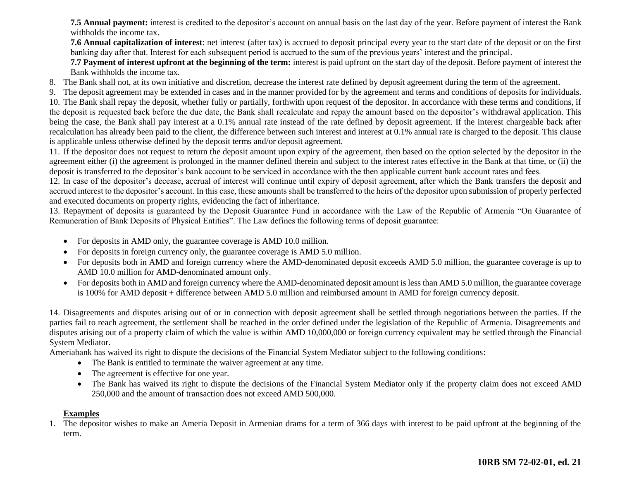**7.5 Annual payment:** interest is credited to the depositor's account on annual basis on the last day of the year. Before payment of interest the Bank withholds the income tax.

**7.6 Annual capitalization of interest**: net interest (after tax) is accrued to deposit principal every year to the start date of the deposit or on the first banking day after that. Interest for each subsequent period is accrued to the sum of the previous years' interest and the principal.

**7.7 Payment of interest upfront at the beginning of the term:** interest is paid upfront on the start day of the deposit. Before payment of interest the Bank withholds the income tax.

- 8. The Bank shall not, at its own initiative and discretion, decrease the interest rate defined by deposit agreement during the term of the agreement.
- 9. The deposit agreement may be extended in cases and in the manner provided for by the agreement and terms and conditions of deposits for individuals.

10. The Bank shall repay the deposit, whether fully or partially, forthwith upon request of the depositor. In accordance with these terms and conditions, if the deposit is requested back before the due date, the Bank shall recalculate and repay the amount based on the depositor's withdrawal application. This being the case, the Bank shall pay interest at a 0.1% annual rate instead of the rate defined by deposit agreement. If the interest chargeable back after recalculation has already been paid to the client, the difference between such interest and interest at 0.1% annual rate is charged to the deposit. This clause is applicable unless otherwise defined by the deposit terms and/or deposit agreement.

11. If the depositor does not request to return the deposit amount upon expiry of the agreement, then based on the option selected by the depositor in the agreement either (i) the agreement is prolonged in the manner defined therein and subject to the interest rates effective in the Bank at that time, or (ii) the deposit is transferred to the depositor's bank account to be serviced in accordance with the then applicable current bank account rates and fees.

12. In case of the depositor's decease, accrual of interest will continue until expiry of deposit agreement, after which the Bank transfers the deposit and accrued interest to the depositor's account. In this case, these amounts shall be transferred to the heirs of the depositor upon submission of properly perfected and executed documents on property rights, evidencing the fact of inheritance.

13. Repayment of deposits is guaranteed by the Deposit Guarantee Fund in accordance with the Law of the Republic of Armenia "On Guarantee of Remuneration of Bank Deposits of Physical Entities". The Law defines the following terms of deposit guarantee:

- For deposits in AMD only, the guarantee coverage is AMD 10.0 million.
- For deposits in foreign currency only, the guarantee coverage is AMD 5.0 million.
- For deposits both in AMD and foreign currency where the AMD-denominated deposit exceeds AMD 5.0 million, the guarantee coverage is up to AMD 10.0 million for AMD-denominated amount only.
- For deposits both in AMD and foreign currency where the AMD-denominated deposit amount is less than AMD 5.0 million, the guarantee coverage is 100% for AMD deposit + difference between AMD 5.0 million and reimbursed amount in AMD for foreign currency deposit.

14. Disagreements and disputes arising out of or in connection with deposit agreement shall be settled through negotiations between the parties. If the parties fail to reach agreement, the settlement shall be reached in the order defined under the legislation of the Republic of Armenia. Disagreements and disputes arising out of a property claim of which the value is within AMD 10,000,000 or foreign currency equivalent may be settled through the Financial System Mediator.

Ameriabank has waived its right to dispute the decisions of the Financial System Mediator subject to the following conditions:

- The Bank is entitled to terminate the waiver agreement at any time.
- The agreement is effective for one year.
- The Bank has waived its right to dispute the decisions of the Financial System Mediator only if the property claim does not exceed AMD 250,000 and the amount of transaction does not exceed AMD 500,000.

#### **Examples**

1. The depositor wishes to make an Ameria Deposit in Armenian drams for a term of 366 days with interest to be paid upfront at the beginning of the term.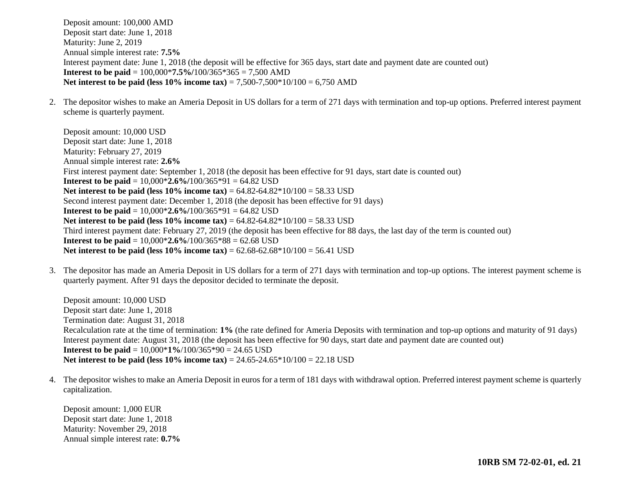Deposit amount: 100,000 AMD Deposit start date: June 1, 2018 Maturity: June 2, 2019 Annual simple interest rate: **7.5%** Interest payment date: June 1, 2018 (the deposit will be effective for 365 days, start date and payment date are counted out) **Interest to be paid** = 100,000\***7.5%/**100/365\*365 = 7,500 AMD **Net interest to be paid (less 10% income tax)** = 7,500-7,500\*10/100 = 6,750 AMD

2. The depositor wishes to make an Ameria Deposit in US dollars for a term of 271 days with termination and top-up options. Preferred interest payment scheme is quarterly payment.

Deposit amount: 10,000 USD Deposit start date: June 1, 2018 Maturity: February 27, 2019 Annual simple interest rate: **2.6%** First interest payment date: September 1, 2018 (the deposit has been effective for 91 days, start date is counted out) **Interest to be paid** = 10,000\***2.6%/**100/365\*91 = 64.82 USD **Net interest to be paid (less 10% income tax)** = 64.82-64.82\*10/100 = 58.33 USD Second interest payment date: December 1, 2018 (the deposit has been effective for 91 days) **Interest to be paid** = 10,000\***2.6%/**100/365\*91 = 64.82 USD Net interest to be paid (less 10% income tax) = 64.82-64.82\*10/100 = 58.33 USD Third interest payment date: February 27, 2019 (the deposit has been effective for 88 days, the last day of the term is counted out) **Interest to be paid** = 10,000\***2.6%**/100/365\*88 = 62.68 USD **Net interest to be paid (less 10% income tax)** = 62.68-62.68\*10/100 = 56.41 USD

3. The depositor has made an Ameria Deposit in US dollars for a term of 271 days with termination and top-up options. The interest payment scheme is quarterly payment. After 91 days the depositor decided to terminate the deposit.

Deposit amount: 10,000 USD Deposit start date: June 1, 2018 Termination date: August 31, 2018 Recalculation rate at the time of termination: **1%** (the rate defined for Ameria Deposits with termination and top-up options and maturity of 91 days) Interest payment date: August 31, 2018 (the deposit has been effective for 90 days, start date and payment date are counted out) **Interest to be paid** = 10,000\***1%**/100/365\*90 = 24.65 USD **Net interest to be paid (less 10% income tax)** = 24.65-24.65\*10/100 = 22.18 USD

4. The depositor wishes to make an Ameria Deposit in euros for a term of 181 days with withdrawal option. Preferred interest payment scheme is quarterly capitalization.

Deposit amount: 1,000 EUR Deposit start date: June 1, 2018 Maturity: November 29, 2018 Annual simple interest rate: **0.7%**